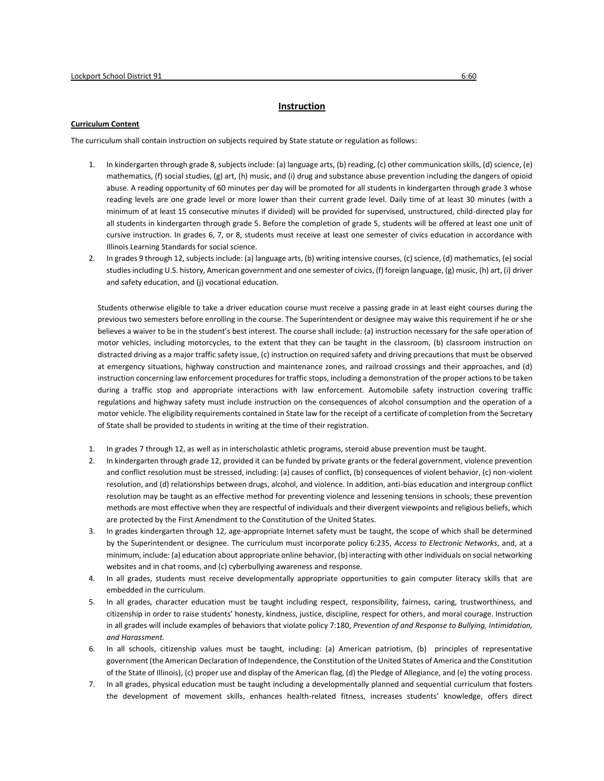## **Instruction**

## **Curriculum Content**

The curriculum shall contain instruction on subjects required by State statute or regulation as follows:

- 1. In kindergarten through grade 8, subjects include: (a) language arts, (b) reading, (c) other communication skills, (d) science, (e) mathematics, (f) social studies, (g) art, (h) music, and (i) drug and substance abuse prevention including the dangers of opioid abuse. A reading opportunity of 60 minutes per day will be promoted for all students in kindergarten through grade 3 whose reading levels are one grade level or more lower than their current grade level. Daily time of at least 30 minutes (with a minimum of at least 15 consecutive minutes if divided) will be provided for supervised, unstructured, child-directed play for all students in kindergarten through grade 5. Before the completion of grade 5, students will be offered at least one unit of cursive instruction. In grades 6, 7, or 8, students must receive at least one semester of civics education in accordance with Illinois Learning Standards for social science.
- 2. In grades 9 through 12, subjects include: (a) language arts, (b) writing intensive courses, (c) science, (d) mathematics, (e) social studies including U.S. history, American government and one semester of civics, (f) foreign language, (g) music, (h) art, (i) driver and safety education, and (j) vocational education.

Students otherwise eligible to take a driver education course must receive a passing grade in at least eight courses during the previous two semesters before enrolling in the course. The Superintendent or designee may waive this requirement if he or she believes a waiver to be in the student's best interest. The course shall include: (a) instruction necessary for the safe operation of motor vehicles, including motorcycles, to the extent that they can be taught in the classroom, (b) classroom instruction on distracted driving as a major traffic safety issue, (c) instruction on required safety and driving precautions that must be observed at emergency situations, highway construction and maintenance zones, and railroad crossings and their approaches, and (d) instruction concerning law enforcement procedures for traffic stops, including a demonstration of the proper actions to be taken during a traffic stop and appropriate interactions with law enforcement. Automobile safety instruction covering traffic regulations and highway safety must include instruction on the consequences of alcohol consumption and the operation of a motor vehicle. The eligibility requirements contained in State law for the receipt of a certificate of completion from the Secretary of State shall be provided to students in writing at the time of their registration.

- 1. In grades 7 through 12, as well as in interscholastic athletic programs, steroid abuse prevention must be taught.
- 2. In kindergarten through grade 12, provided it can be funded by private grants or the federal government, violence prevention and conflict resolution must be stressed, including: (a) causes of conflict, (b) consequences of violent behavior, (c) non-violent resolution, and (d) relationships between drugs, alcohol, and violence. In addition, anti-bias education and intergroup conflict resolution may be taught as an effective method for preventing violence and lessening tensions in schools; these prevention methods are most effective when they are respectful of individuals and their divergent viewpoints and religious beliefs, which are protected by the First Amendment to the Constitution of the United States.
- 3. In grades kindergarten through 12, age-appropriate Internet safety must be taught, the scope of which shall be determined by the Superintendent or designee. The curriculum must incorporate policy 6:235, *Access to Electronic Networks*, and, at a minimum, include: (a) education about appropriate online behavior, (b) interacting with other individuals on social networking websites and in chat rooms, and (c) cyberbullying awareness and response.
- 4. In all grades, students must receive developmentally appropriate opportunities to gain computer literacy skills that are embedded in the curriculum.
- 5. In all grades, character education must be taught including respect, responsibility, fairness, caring, trustworthiness, and citizenship in order to raise students' honesty, kindness, justice, discipline, respect for others, and moral courage. Instruction in all grades will include examples of behaviors that violate policy 7:180, *Prevention of and Response to Bullying, Intimidation, and Harassment.*
- 6. In all schools, citizenship values must be taught, including: (a) American patriotism, (b) principles of representative government (the American Declaration of Independence, the Constitution of the United States of America and the Constitution of the State of Illinois), (c) proper use and display of the American flag, (d) the Pledge of Allegiance, and (e) the voting process.
- 7. In all grades, physical education must be taught including a developmentally planned and sequential curriculum that fosters the development of movement skills, enhances health-related fitness, increases students' knowledge, offers direct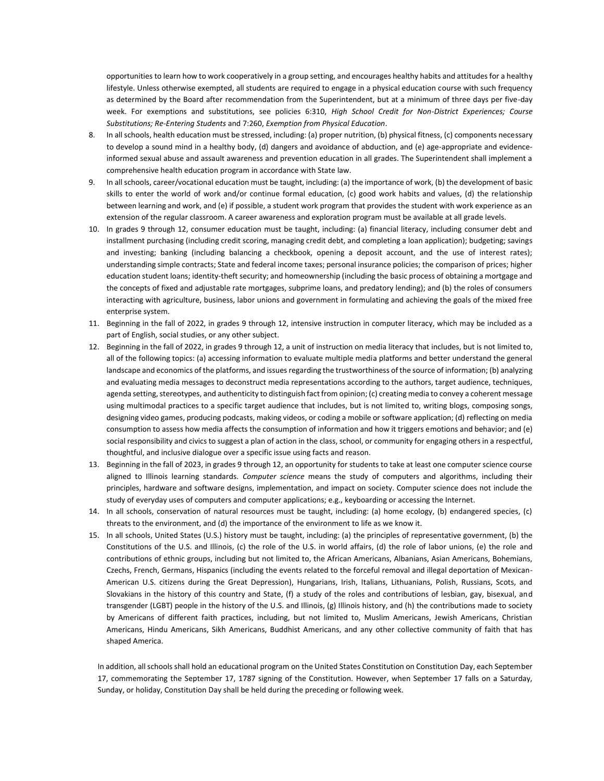opportunities to learn how to work cooperatively in a group setting, and encourages healthy habits and attitudes for a healthy lifestyle. Unless otherwise exempted, all students are required to engage in a physical education course with such frequency as determined by the Board after recommendation from the Superintendent, but at a minimum of three days per five-day week. For exemptions and substitutions, see policies 6:310, *High School Credit for Non-District Experiences; Course Substitutions; Re-Entering Students* and 7:260, *Exemption from Physical Education*.

- 8. In all schools, health education must be stressed, including: (a) proper nutrition, (b) physical fitness, (c) components necessary to develop a sound mind in a healthy body, (d) dangers and avoidance of abduction, and (e) age-appropriate and evidenceinformed sexual abuse and assault awareness and prevention education in all grades. The Superintendent shall implement a comprehensive health education program in accordance with State law.
- 9. In all schools, career/vocational education must be taught, including: (a) the importance of work, (b) the development of basic skills to enter the world of work and/or continue formal education, (c) good work habits and values, (d) the relationship between learning and work, and (e) if possible, a student work program that provides the student with work experience as an extension of the regular classroom. A career awareness and exploration program must be available at all grade levels.
- 10. In grades 9 through 12, consumer education must be taught, including: (a) financial literacy, including consumer debt and installment purchasing (including credit scoring, managing credit debt, and completing a loan application); budgeting; savings and investing; banking (including balancing a checkbook, opening a deposit account, and the use of interest rates); understanding simple contracts; State and federal income taxes; personal insurance policies; the comparison of prices; higher education student loans; identity-theft security; and homeownership (including the basic process of obtaining a mortgage and the concepts of fixed and adjustable rate mortgages, subprime loans, and predatory lending); and (b) the roles of consumers interacting with agriculture, business, labor unions and government in formulating and achieving the goals of the mixed free enterprise system.
- 11. Beginning in the fall of 2022, in grades 9 through 12, intensive instruction in computer literacy, which may be included as a part of English, social studies, or any other subject.
- 12. Beginning in the fall of 2022, in grades 9 through 12, a unit of instruction on media literacy that includes, but is not limited to, all of the following topics: (a) accessing information to evaluate multiple media platforms and better understand the general landscape and economics of the platforms, and issues regarding the trustworthiness of the source of information; (b) analyzing and evaluating media messages to deconstruct media representations according to the authors, target audience, techniques, agenda setting, stereotypes, and authenticity to distinguish fact from opinion; (c) creating media to convey a coherent message using multimodal practices to a specific target audience that includes, but is not limited to, writing blogs, composing songs, designing video games, producing podcasts, making videos, or coding a mobile or software application; (d) reflecting on media consumption to assess how media affects the consumption of information and how it triggers emotions and behavior; and (e) social responsibility and civics to suggest a plan of action in the class, school, or community for engaging others in a respectful, thoughtful, and inclusive dialogue over a specific issue using facts and reason.
- 13. Beginning in the fall of 2023, in grades 9 through 12, an opportunity for students to take at least one computer science course aligned to Illinois learning standards. *Computer science* means the study of computers and algorithms, including their principles, hardware and software designs, implementation, and impact on society. Computer science does not include the study of everyday uses of computers and computer applications; e.g., keyboarding or accessing the Internet.
- 14. In all schools, conservation of natural resources must be taught, including: (a) home ecology, (b) endangered species, (c) threats to the environment, and (d) the importance of the environment to life as we know it.
- 15. In all schools, United States (U.S.) history must be taught, including: (a) the principles of representative government, (b) the Constitutions of the U.S. and Illinois, (c) the role of the U.S. in world affairs, (d) the role of labor unions, (e) the role and contributions of ethnic groups, including but not limited to, the African Americans, Albanians, Asian Americans, Bohemians, Czechs, French, Germans, Hispanics (including the events related to the forceful removal and illegal deportation of Mexican-American U.S. citizens during the Great Depression), Hungarians, Irish, Italians, Lithuanians, Polish, Russians, Scots, and Slovakians in the history of this country and State, (f) a study of the roles and contributions of lesbian, gay, bisexual, and transgender (LGBT) people in the history of the U.S. and Illinois, (g) Illinois history, and (h) the contributions made to society by Americans of different faith practices, including, but not limited to, Muslim Americans, Jewish Americans, Christian Americans, Hindu Americans, Sikh Americans, Buddhist Americans, and any other collective community of faith that has shaped America.

In addition, all schools shall hold an educational program on the United States Constitution on Constitution Day, each September 17, commemorating the September 17, 1787 signing of the Constitution. However, when September 17 falls on a Saturday, Sunday, or holiday, Constitution Day shall be held during the preceding or following week.